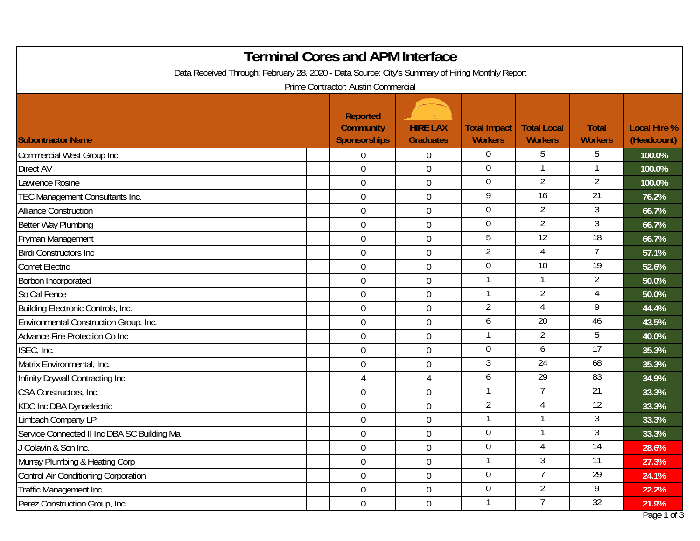| <b>Terminal Cores and APM Interface</b><br>Data Received Through: February 28, 2020 - Data Source: City's Summary of Hiring Monthly Report |                                                            |                                     |                                       |                                      |                                |                                    |  |  |
|--------------------------------------------------------------------------------------------------------------------------------------------|------------------------------------------------------------|-------------------------------------|---------------------------------------|--------------------------------------|--------------------------------|------------------------------------|--|--|
|                                                                                                                                            | Prime Contractor: Austin Commercial                        |                                     |                                       |                                      |                                |                                    |  |  |
| <b>Subontractor Name</b>                                                                                                                   | <b>Reported</b><br><b>Community</b><br><b>Sponsorships</b> | <b>HIRE LAX</b><br><b>Graduates</b> | <b>Total Impact</b><br><b>Workers</b> | <b>Total Local</b><br><b>Workers</b> | <b>Total</b><br><b>Workers</b> | <b>Local Hire %</b><br>(Headcount) |  |  |
| Commercial West Group Inc.                                                                                                                 | $\overline{0}$                                             | 0                                   | $\overline{0}$                        | 5                                    | 5                              | 100.0%                             |  |  |
| Direct AV                                                                                                                                  | $\overline{0}$                                             | $\mathbf 0$                         | $\overline{0}$                        |                                      |                                | 100.0%                             |  |  |
| awrence Rosine                                                                                                                             | $\overline{0}$                                             | $\boldsymbol{0}$                    | $\overline{0}$                        | $\overline{2}$                       | 2                              | 100.0%                             |  |  |
| TEC Management Consultants Inc.                                                                                                            | $\overline{0}$                                             | $\boldsymbol{0}$                    | $\overline{9}$                        | $\overline{16}$                      | $\overline{21}$                | 76.2%                              |  |  |
| <b>Alliance Construction</b>                                                                                                               | $\overline{0}$                                             | $\mathbf 0$                         | $\overline{0}$                        | $\overline{2}$                       | 3                              | 66.7%                              |  |  |
| Better Way Plumbing                                                                                                                        | $\overline{0}$                                             | 0                                   | $\mathbf 0$                           | $\overline{2}$                       | 3                              | 66.7%                              |  |  |
| Fryman Management                                                                                                                          | $\overline{0}$                                             | $\mathbf 0$                         | 5                                     | $\overline{12}$                      | $\overline{18}$                | 66.7%                              |  |  |
| <b>Birdi Constructors Inc.</b>                                                                                                             | $\overline{0}$                                             | $\boldsymbol{0}$                    | $\overline{2}$                        | 4                                    |                                | 57.1%                              |  |  |
| <b>Comet Electric</b>                                                                                                                      | $\mathbf 0$                                                | $\boldsymbol{0}$                    | $\mathbf 0$                           | $\overline{10}$                      | $\overline{19}$                | 52.6%                              |  |  |
| Borbon Incorporated                                                                                                                        | $\overline{0}$                                             | $\mathbf 0$                         | $\mathbf{1}$                          | 1                                    | $\overline{2}$                 | 50.0%                              |  |  |
| So Cal Fence                                                                                                                               | $\boldsymbol{0}$                                           | 0                                   | -1                                    | $\overline{2}$                       |                                | 50.0%                              |  |  |
| Building Electronic Controls, Inc.                                                                                                         | $\overline{0}$                                             | $\boldsymbol{0}$                    | $\overline{2}$                        | 4                                    | 9                              | 44.4%                              |  |  |
| Environmental Construction Group, Inc.                                                                                                     | $\mathbf 0$                                                | $\mathbf 0$                         | 6                                     | $\overline{20}$                      | 46                             | 43.5%                              |  |  |
| Advance Fire Protection Co Inc                                                                                                             | $\overline{0}$                                             | 0                                   | -1                                    | 2                                    | 5                              | 40.0%                              |  |  |
| ISEC, Inc.                                                                                                                                 | $\mathbf 0$                                                | $\boldsymbol{0}$                    | $\mathbf 0$                           | 6                                    | $\overline{17}$                | 35.3%                              |  |  |
| Matrix Environmental, Inc.                                                                                                                 | $\mathbf 0$                                                | 0                                   | 3                                     | $\overline{24}$                      | 68                             | 35.3%                              |  |  |
| Infinity Drywall Contracting Inc                                                                                                           | 4                                                          | $\overline{4}$                      | 6                                     | $\overline{29}$                      | 83                             | 34.9%                              |  |  |
| CSA Constructors, Inc.                                                                                                                     | $\mathbf 0$                                                | 0                                   | $\mathbf{1}$                          |                                      | 21                             | 33.3%                              |  |  |
| <b>KDC Inc DBA Dynaelectric</b>                                                                                                            | $\overline{0}$                                             | $\boldsymbol{0}$                    | $\overline{2}$                        | 4                                    | 12                             | 33.3%                              |  |  |
| Limbach Company LP                                                                                                                         | $\mathbf 0$                                                | 0                                   | $\mathbf{1}$                          |                                      | 3                              | 33.3%                              |  |  |
| Service Connected II Inc DBA SC Building Ma                                                                                                | $\mathbf 0$                                                | $\mathbf 0$                         | $\overline{0}$                        |                                      | 3                              | 33.3%                              |  |  |
| J Colavin & Son Inc.                                                                                                                       | $\overline{0}$                                             | 0                                   | $\overline{0}$                        | 4                                    | $\overline{14}$                | 28.6%                              |  |  |
| Murray Plumbing & Heating Corp                                                                                                             | $\overline{0}$                                             | $\boldsymbol{0}$                    | $\mathbf{1}$                          | 3                                    | $\overline{11}$                | 27.3%                              |  |  |
| Control Air Conditioning Corporation                                                                                                       | $\overline{0}$                                             | $\boldsymbol{0}$                    | $\overline{0}$                        | $\overline{7}$                       | 29                             | 24.1%                              |  |  |
| Traffic Management Inc                                                                                                                     | $\mathbf 0$                                                | $\overline{0}$                      | $\overline{0}$                        | $\overline{2}$                       | 9                              | 22.2%                              |  |  |
| Perez Construction Group, Inc.                                                                                                             | $\overline{0}$                                             | $\boldsymbol{0}$                    | -1                                    |                                      | 32                             | 21.9%<br>Page 1 of 3               |  |  |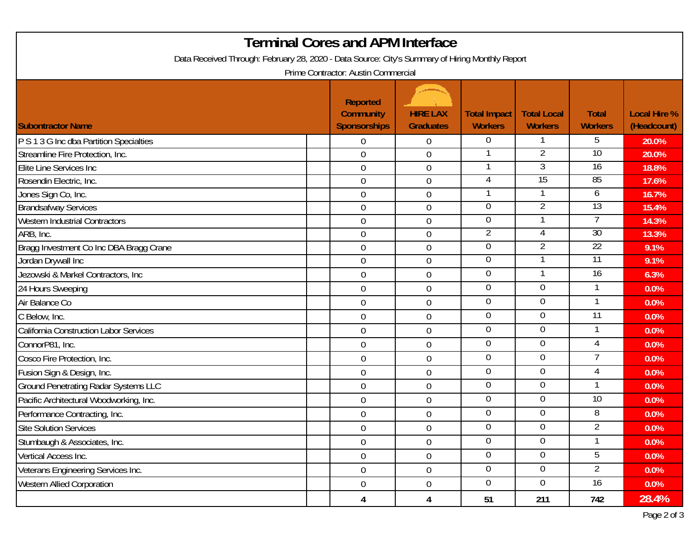|                                                                                                 | <b>Terminal Cores and APM Interface</b>                    |                                     |                                       |                                      |                                |                                    |
|-------------------------------------------------------------------------------------------------|------------------------------------------------------------|-------------------------------------|---------------------------------------|--------------------------------------|--------------------------------|------------------------------------|
| Data Received Through: February 28, 2020 - Data Source: City's Summary of Hiring Monthly Report | Prime Contractor: Austin Commercial                        |                                     |                                       |                                      |                                |                                    |
| <b>Subontractor Name</b>                                                                        | <b>Reported</b><br><b>Community</b><br><b>Sponsorships</b> | <b>HIRE LAX</b><br><b>Graduates</b> | <b>Total Impact</b><br><b>Workers</b> | <b>Total Local</b><br><b>Workers</b> | <b>Total</b><br><b>Workers</b> | <b>Local Hire %</b><br>(Headcount) |
| P S 1 3 G Inc dba Partition Specialties                                                         | $\overline{0}$                                             | $\overline{0}$                      | $\overline{0}$                        |                                      | 5                              | 20.0%                              |
| Streamline Fire Protection, Inc.                                                                | 0                                                          | $\mathbf 0$                         |                                       | $\overline{2}$                       | $10 \,$                        | 20.0%                              |
| Elite Line Services Inc                                                                         | $\overline{0}$                                             | $\mathbf 0$                         |                                       | 3                                    | $\overline{16}$                | 18.8%                              |
| Rosendin Electric, Inc.                                                                         | 0                                                          | $\boldsymbol{0}$                    | 4                                     | $\overline{15}$                      | 85                             | 17.6%                              |
| Jones Sign Co, Inc.                                                                             | $\overline{0}$                                             | $\mathbf 0$                         |                                       |                                      | 6                              | 16.7%                              |
| <b>Brandsafway Services</b>                                                                     | $\overline{0}$                                             | $\mathbf 0$                         | 0                                     | $\overline{2}$                       | 13                             | 15.4%                              |
| <b>Western Industrial Contractors</b>                                                           | $\overline{0}$                                             | $\mathbf 0$                         | 0                                     |                                      |                                | 14.3%                              |
| ARB, Inc.                                                                                       | $\overline{0}$                                             | $\boldsymbol{0}$                    | 2                                     | 4                                    | 30                             | 13.3%                              |
| Bragg Investment Co Inc DBA Bragg Crane                                                         | $\mathbf 0$                                                | $\mathbf 0$                         | 0                                     | 2                                    | 22                             | 9.1%                               |
| Jordan Drywall Inc                                                                              | $\overline{0}$                                             | $\mathbf 0$                         | 0                                     |                                      | 11                             | 9.1%                               |
| Jezowski & Markel Contractors, Inc                                                              | $\mathbf 0$                                                | $\boldsymbol{0}$                    | 0                                     | 1                                    | 16                             | 6.3%                               |
| 24 Hours Sweeping                                                                               | $\mathbf 0$                                                | $\mathbf 0$                         | $\mathbf 0$                           | $\mathbf 0$                          |                                | 0.0%                               |
| Air Balance Co                                                                                  | $\overline{0}$                                             | $\mathbf 0$                         | $\overline{0}$                        | 0                                    | 1                              | 0.0%                               |
| C Below, Inc.                                                                                   | $\mathbf 0$                                                | $\mathbf 0$                         | 0                                     | $\overline{0}$                       | 11                             | 0.0%                               |
| <b>California Construction Labor Services</b>                                                   | $\mathbf 0$                                                | $\theta$                            | $\boldsymbol{0}$                      | 0                                    |                                | 0.0%                               |
| ConnorP81, Inc.                                                                                 | $\mathbf 0$                                                | $\mathbf 0$                         | 0                                     | $\overline{0}$                       | $\overline{4}$                 | 0.0%                               |
| Cosco Fire Protection, Inc.                                                                     | $\overline{0}$                                             | $\mathbf 0$                         | $\boldsymbol{0}$                      | $\overline{0}$                       | 7                              | 0.0%                               |
| Fusion Sign & Design, Inc.                                                                      | $\mathbf 0$                                                | $\boldsymbol{0}$                    | 0                                     | 0                                    | 4                              | 0.0%                               |
| <b>Ground Penetrating Radar Systems LLC</b>                                                     | $\mathbf 0$                                                | $\mathbf 0$                         | 0                                     | 0                                    |                                | 0.0%                               |
| Pacific Architectural Woodworking, Inc.                                                         | $\mathbf 0$                                                | $\mathbf 0$                         | $\mathbf 0$                           | 0                                    | $\overline{10}$                | 0.0%                               |
| Performance Contracting, Inc.                                                                   | 0                                                          | $\boldsymbol{0}$                    | 0                                     | 0                                    | 8                              | 0.0%                               |
| Site Solution Services                                                                          | $\boldsymbol{0}$                                           | $\boldsymbol{0}$                    | $\boldsymbol{0}$                      | 0                                    | $\overline{c}$                 | 0.0%                               |
| Stumbaugh & Associates, Inc.                                                                    | $\overline{0}$                                             | $\overline{0}$                      | $\overline{0}$                        | $\overline{0}$                       |                                | $0.0\%$                            |
| Vertical Access Inc.                                                                            | $\mathbf 0$                                                | $\boldsymbol{0}$                    | $\overline{0}$                        | $\overline{0}$                       | 5                              | $0.0\%$                            |
| Veterans Engineering Services Inc.                                                              | $\overline{0}$                                             | $\overline{0}$                      | $\overline{0}$                        | $\overline{0}$                       | $\overline{2}$                 | $0.0\%$                            |
| <b>Western Allied Corporation</b>                                                               | $\mathbf 0$                                                | $\overline{0}$                      | $\overline{0}$                        | $\overline{0}$                       | 16                             | $0.0\%$                            |
|                                                                                                 | 4                                                          | 4                                   | 51                                    | 211                                  | 742                            | 28.4%                              |